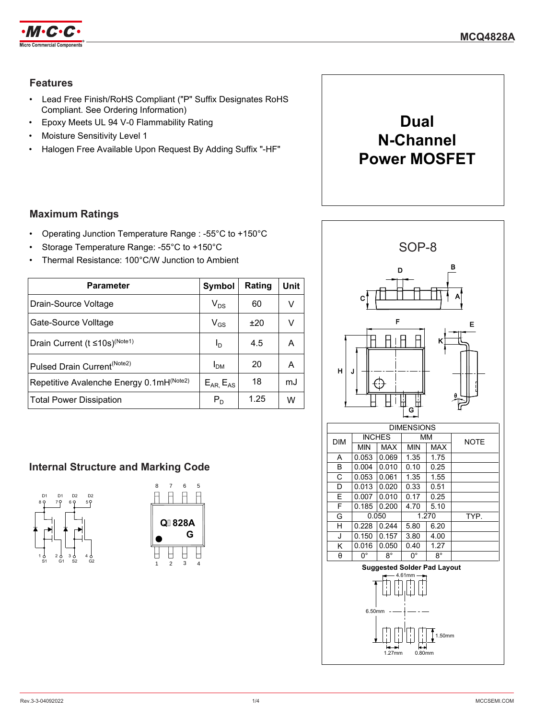

## **Features**

- Lead Free Finish/RoHS Compliant ("P" Suffix Designates RoHS Compliant. See Ordering Information)
- Epoxy Meets UL 94 V-0 Flammability Rating
- Moisture Sensitivity Level 1
- Halogen Free Available Upon Request By Adding Suffix "-HF"



## **Maximum Ratings**

- Operating Junction Temperature Range : -55°C to +150°C
- Storage Temperature Range: -55°C to +150°C
- Thermal Resistance: 100°C/W Junction to Ambient

| <b>Parameter</b>                                 | Symbol                     | Rating | Unit |
|--------------------------------------------------|----------------------------|--------|------|
| Drain-Source Voltage                             | $V_{DS}$                   | 60     | v    |
| Gate-Source Volltage                             | $\mathsf{V}_{\mathsf{GS}}$ | ±20    |      |
| Drain Current ( $t \le 10$ s) <sup>(Note1)</sup> | I <sub>D</sub>             | 4.5    |      |
| Pulsed Drain Current <sup>(Note2)</sup>          | I <sub>DM</sub>            | 20     | А    |
| Repetitive Avalenche Energy 0.1mH(Note2)         | $E_{AR}$ , $E_{AS}$        | 18     | mJ   |
| <b>Total Power Dissipation</b>                   | $\mathsf{P}_\mathsf{D}$    | 1.25   | w    |

## **Internal Structure and Marking Code**





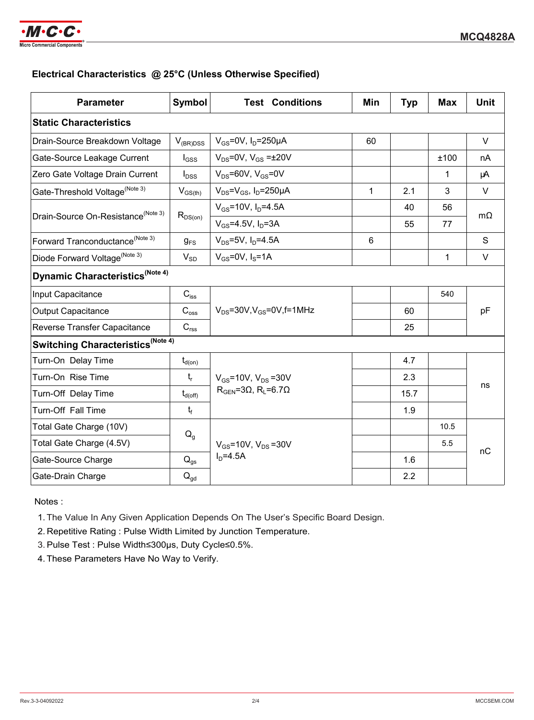

### **Electrical Characteristics @ 25°C (Unless Otherwise Specified)**

| <b>Parameter</b>                               | Symbol                     | <b>Test Conditions</b>                                                                  | Min          | <b>Typ</b> | <b>Max</b> | <b>Unit</b> |  |
|------------------------------------------------|----------------------------|-----------------------------------------------------------------------------------------|--------------|------------|------------|-------------|--|
| <b>Static Characteristics</b>                  |                            |                                                                                         |              |            |            |             |  |
| Drain-Source Breakdown Voltage                 | $V_{(BR)DSS}$              | $V_{GS}$ =0V, $I_D$ =250µA                                                              | 60           |            |            | $\vee$      |  |
| Gate-Source Leakage Current                    | $I_{GSS}$                  | $V_{DS}$ =0V, $V_{GS}$ = $\pm$ 20V                                                      |              |            | ±100       | nA          |  |
| Zero Gate Voltage Drain Current                | $I_{DSS}$                  | $V_{DS}$ =60V, $V_{GS}$ =0V                                                             |              |            | 1          | μA          |  |
| Gate-Threshold Voltage <sup>(Note 3)</sup>     | $V_{GS(th)}$               | $V_{DS} = V_{GS}$ , $I_D = 250 \mu A$                                                   | $\mathbf{1}$ | 2.1        | 3          | $\vee$      |  |
| Drain-Source On-Resistance <sup>(Note 3)</sup> |                            | $V_{GS}$ =10V, $I_{D}$ =4.5A                                                            |              | 40         | 56         | $m\Omega$   |  |
|                                                | $R_{DS(on)}$               | $V_{GS} = 4.5V$ , $I_D = 3A$                                                            |              | 55         | 77         |             |  |
| Forward Tranconductance <sup>(Note 3)</sup>    | $g_{FS}$                   | $V_{DS} = 5V$ , $I_{D} = 4.5A$                                                          | 6            |            |            | S           |  |
| Diode Forward Voltage <sup>(Note 3)</sup>      | $V_{SD}$                   | $V_{GS}$ =0V, $I_S$ =1A                                                                 |              |            | 1          | V           |  |
| Dynamic Characteristics <sup>(Note 4)</sup>    |                            |                                                                                         |              |            |            |             |  |
| Input Capacitance                              | $C_{\text{iss}}$           | $V_{DS}$ =30V, $V_{GS}$ =0V, f=1MHz                                                     |              |            | 540        |             |  |
| <b>Output Capacitance</b>                      | $C_{\rm oss}$              |                                                                                         |              | 60         |            | pF          |  |
| Reverse Transfer Capacitance                   | $C_{\text{rss}}$           |                                                                                         |              | 25         |            |             |  |
| Switching Characteristics (Note 4)             |                            |                                                                                         |              |            |            |             |  |
| Turn-On Delay Time                             | $t_{\sf d(on)}$            |                                                                                         |              | 4.7        |            |             |  |
| Turn-On Rise Time                              | $t_{r}$                    | $V_{GS}$ =10V, $V_{DS}$ =30V<br>$R_{\text{GEN}} = 3\Omega$ , $R_{\text{L}} = 6.7\Omega$ |              | 2.3        |            |             |  |
| Turn-Off Delay Time                            | $t_{d(\text{off})}$        |                                                                                         |              | 15.7       |            | ns          |  |
| Turn-Off Fall Time                             | $t_f$                      |                                                                                         |              | 1.9        |            |             |  |
| Total Gate Charge (10V)                        | $Q_{q}$                    | $V_{GS}$ =10V, $V_{DS}$ =30V<br>$ID=4.5A$                                               |              |            | 10.5       |             |  |
| Total Gate Charge (4.5V)                       |                            |                                                                                         |              |            | 5.5        | nC          |  |
| Gate-Source Charge                             | $Q_{qs}$                   |                                                                                         |              | 1.6        |            |             |  |
| Gate-Drain Charge                              | $\mathsf{Q}_{\mathsf{gd}}$ |                                                                                         |              | 2.2        |            |             |  |

Notes :

1. The Value In Any Given Application Depends On The User's Specific Board Design.

2. Repetitive Rating : Pulse Width Limited by Junction Temperature.

3. Pulse Test : Pulse Width≤300µs, Duty Cycle≤0.5%.

4. These Parameters Have No Way to Verify.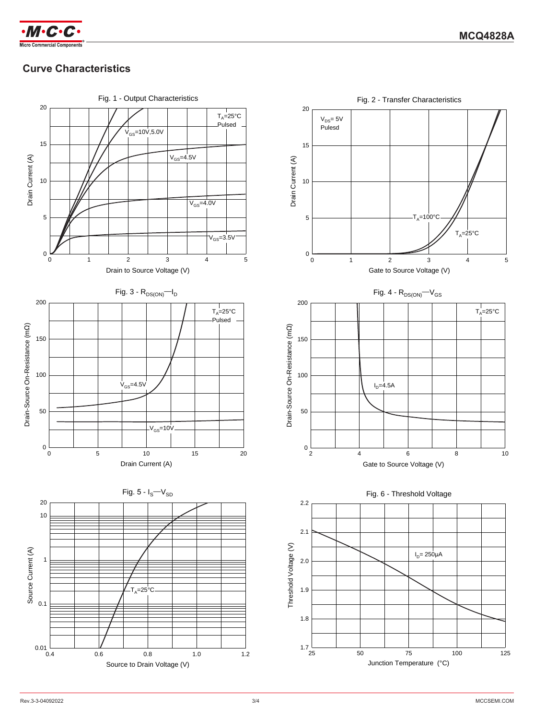



# **Curve Characteristics**